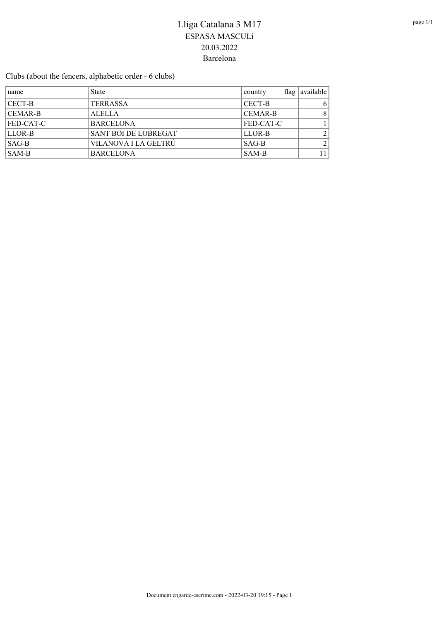Clubs (about the fencers, alphabetic order - 6 clubs)

| name          | <b>State</b>         | country        | $\pm$ flag $\pm$ | available      |
|---------------|----------------------|----------------|------------------|----------------|
| CECT-B        | <b>TERRASSA</b>      | CECT-B         |                  | 6              |
| CEMAR-B       | <b>ALELLA</b>        | <b>CEMAR-B</b> |                  | 8 <sup>1</sup> |
| $ FED-CAT-C $ | <b>BARCELONA</b>     | FED-CAT-C      |                  |                |
| LLOR-B        | SANT BOI DE LOBREGAT | LLOR-B         |                  |                |
| SAG-B         | VILANOVA I LA GELTRÚ | $SAG-B$        |                  | 2 <sub>1</sub> |
| <b>SAM-B</b>  | <b>BARCELONA</b>     | SAM-B          |                  | 11             |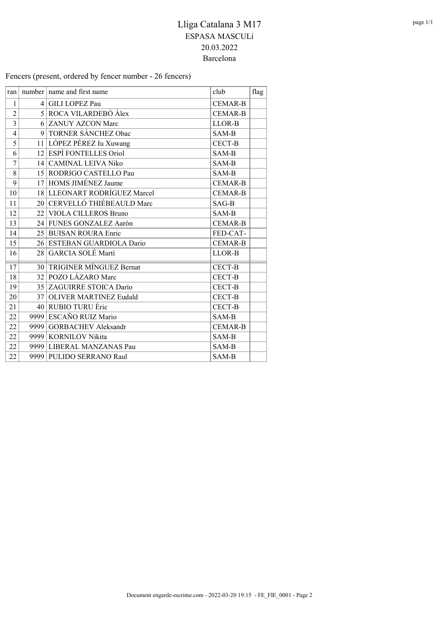Fencers (present, ordered by fencer number - 26 fencers)

| ran            | number $ $ name and first name | club           | flag |
|----------------|--------------------------------|----------------|------|
| $\mathbf{1}$   | 4 GILI LOPEZ Pau               | <b>CEMAR-B</b> |      |
| $\overline{2}$ | 5 ROCA VILARDEBÒ Àlex          | <b>CEMAR-B</b> |      |
| $\overline{3}$ | 6 ZANUY AZCON Marc             | LLOR-B         |      |
| 4              | 9 TORNER SÁNCHEZ Obac          | SAM-B          |      |
| 5              | 11 LÓPEZ PÉREZ Iu Xuwang       | <b>CECT-B</b>  |      |
| 6              | 12 ESPÍ FONTELLES Oriol        | SAM-B          |      |
| $\overline{7}$ | 14 CAMINAL LEIVA Niko          | SAM-B          |      |
| 8              | 15 RODRIGO CASTELLO Pau        | SAM-B          |      |
| 9              | 17 HOMS JIMÉNEZ Jaume          | <b>CEMAR-B</b> |      |
| 10             | 18 LLEONART RODRÍGUEZ Marcel   | <b>CEMAR-B</b> |      |
| 11             | 20 CERVELLÓ THIÉBEAULD Marc    | SAG-B          |      |
| 12             | 22 VIOLA CILLEROS Bruno        | SAM-B          |      |
| 13             | 24 FUNES GONZALEZ Aarón        | <b>CEMAR-B</b> |      |
| 14             | 25 BUISAN ROURA Enric          | FED-CAT-       |      |
| 15             | 26 ESTEBAN GUARDIOLA Dario     | <b>CEMAR-B</b> |      |
| 16             | 28 GARCIA SOLÉ Martí           | LLOR-B         |      |
| 17             | 30 TRIGINER MÍNGUEZ Bernat     | CECT-B         |      |
| 18             | 32 POZO LÁZARO Marc            | <b>CECT-B</b>  |      |
| 19             | 35 ZAGUIRRE STOICA Darío       | <b>CECT-B</b>  |      |
| 20             | 37 OLIVER MARTINEZ Eudald      | <b>CECT-B</b>  |      |
| 21             | 40 RUBIO TURU Èric             | <b>CECT-B</b>  |      |
| 22             | 9999 ESCAÑO RUIZ Mario         | SAM-B          |      |
| 22             | 9999 GORBACHEV Aleksandr       | <b>CEMAR-B</b> |      |
| 22             | 9999 KORNILOV Nikita           | SAM-B          |      |
| 22             | 9999 LIBERAL MANZANAS Pau      | SAM-B          |      |
| 22             | 9999 PULIDO SERRANO Raul       | SAM-B          |      |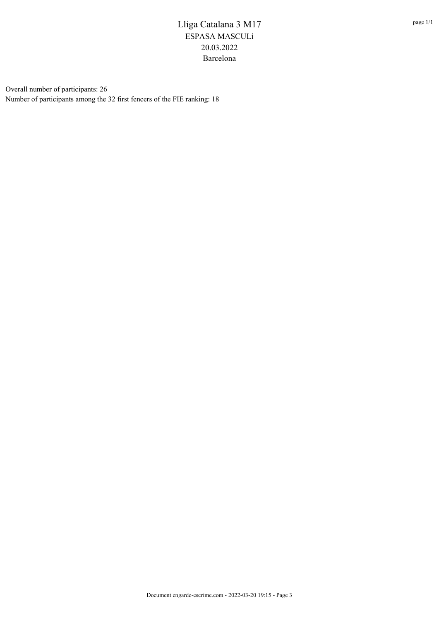Overall number of participants: 26 Number of participants among the 32 first fencers of the FIE ranking: 18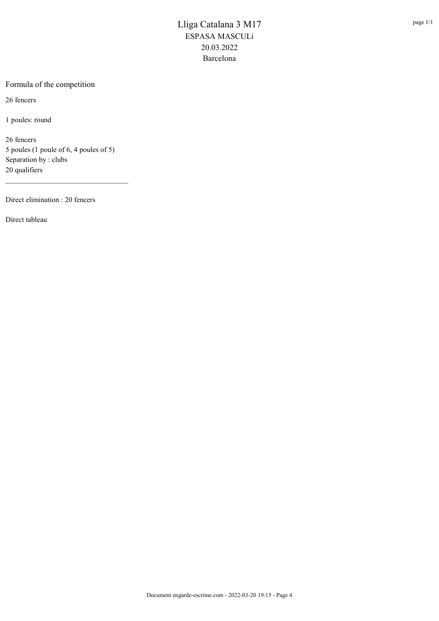#### Formula of the competition

26 fencers

1 poules: round

26 fencers 5 poules (1 poule of 6, 4 poules of 5) Separation by : clubs 20 qualifiers

\_\_\_\_\_\_\_\_\_\_\_\_\_\_\_\_\_\_\_\_\_\_\_\_\_\_\_\_\_\_\_\_\_

Direct elimination : 20 fencers

Direct tableau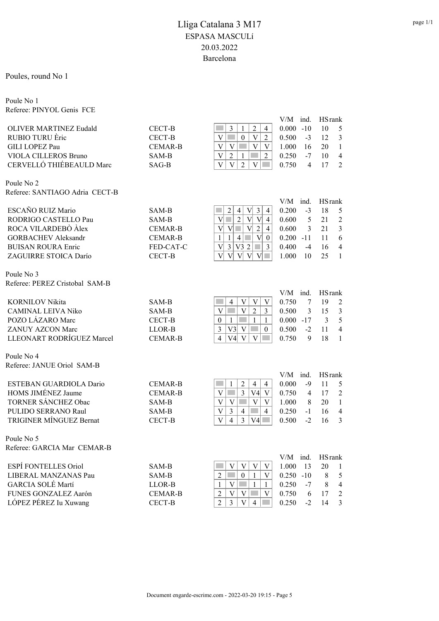#### Poules, round No 1

Poule No 1 Referee: PINYOL Genis FCE

|                                                    |                |                                                                                                      | $V/M$ ind.     | <b>HS</b> rank                 |
|----------------------------------------------------|----------------|------------------------------------------------------------------------------------------------------|----------------|--------------------------------|
| <b>OLIVER MARTINEZ Eudald</b>                      | CECT-B         | $\mathfrak{Z}$<br>$\overline{c}$<br>1<br>$\overline{4}$                                              | 0.000<br>$-10$ | 10<br>5                        |
| RUBIO TURU Eric                                    | CECT-B         | $\mathbf V$<br>$\boldsymbol{0}$<br>V<br>$\overline{2}$                                               | 0.500<br>$-3$  | 12<br>3                        |
| <b>GILI LOPEZ Pau</b>                              | <b>CEMAR-B</b> | V<br>V<br>V<br>V                                                                                     | 1.000<br>16    | 20<br>$\mathbf{1}$             |
| VIOLA CILLEROS Bruno                               | SAM-B          | V<br>$\overline{2}$<br>$\overline{2}$<br>1                                                           | 0.250<br>$-7$  | $\overline{\mathcal{L}}$<br>10 |
| CERVELLÓ THIÉBEAULD Marc                           | $SAG-B$        | $\overline{\mathbf{V}}$<br>V<br>$\overline{2}$<br>V                                                  | 0.750<br>4     | $\overline{2}$<br>17           |
|                                                    |                |                                                                                                      |                |                                |
| Poule No 2                                         |                |                                                                                                      |                |                                |
| Referee: SANTIAGO Adria CECT-B                     |                |                                                                                                      |                |                                |
|                                                    |                |                                                                                                      | V/M ind.       | <b>HS</b> rank                 |
| ESCAÑO RUIZ Mario                                  | SAM-B          | $\mathfrak{Z}$<br>2<br>V<br>$\overline{4}$<br>$\overline{4}$                                         | 0.200<br>$-3$  | 18<br>5                        |
| RODRIGO CASTELLO Pau                               | SAM-B          | $\overline{2}$<br> V <br>V <sub>l</sub><br>$\overline{4}$<br>V                                       | 0.600<br>5     | 21<br>$\overline{2}$           |
| ROCA VILARDEBÒ Àlex                                | <b>CEMAR-B</b> | $\overline{2}$<br>V<br>$\mathcal{L}_{\mathcal{A}}$<br>V<br>V<br>$\overline{4}$                       | 0.600<br>3     | $\mathfrak{Z}$<br>21           |
| <b>GORBACHEV Aleksandr</b>                         | <b>CEMAR-B</b> | V <sub>1</sub><br>$\overline{4}$<br>$\mathbf{1}$<br>$\mathbf{1}$<br>$\overline{0}$<br>$\overline{3}$ | $0.200 -11$    | 6<br>11<br>$\overline{4}$      |
| <b>BUISAN ROURA Enric</b><br>ZAGUIRRE STOICA Darío | FED-CAT-C      | 3 V3 2<br>$\mathbf V$<br>$\overline{\mathsf{V}}$<br>V<br>V                                           | 0.400<br>$-4$  | 16<br>25<br>$\mathbf{1}$       |
|                                                    | CECT-B         | V<br>V                                                                                               | 1.000<br>10    |                                |
| Poule No 3                                         |                |                                                                                                      |                |                                |
| Referee: PEREZ Cristobal SAM-B                     |                |                                                                                                      |                |                                |
|                                                    |                |                                                                                                      | V/M ind.       | <b>HS</b> rank                 |
| <b>KORNILOV Nikita</b>                             | SAM-B          | V<br>$\overline{4}$<br>V<br>V                                                                        | 0.750<br>7     | 19<br>$\overline{c}$           |
| <b>CAMINAL LEIVA Niko</b>                          | SAM-B          | V<br>$\overline{2}$<br>V<br>3                                                                        | 0.500<br>3     | $\mathfrak{Z}$<br>15           |
| POZO LÁZARO Marc                                   | CECT-B         | $\mathbf{1}$<br>$\boldsymbol{0}$<br>$\mathbf{1}$<br>$\mathbf{1}$                                     | $0.000 -17$    | 5<br>3                         |
| ZANUY AZCON Marc                                   | LLOR-B         | 3<br>V3<br>V<br>$\boldsymbol{0}$                                                                     | 0.500<br>$-2$  | 11<br>$\overline{4}$           |
| LLEONART RODRÍGUEZ Marcel                          | <b>CEMAR-B</b> | V<br>V<br>4<br>V4                                                                                    | 0.750<br>9     | 18<br>$\mathbf{1}$             |
| Poule No 4                                         |                |                                                                                                      |                |                                |
| Referee: JANUE Oriol SAM-B                         |                |                                                                                                      |                |                                |
|                                                    |                |                                                                                                      | $V/M$ ind.     | <b>HS</b> rank                 |
| ESTEBAN GUARDIOLA Dario                            | <b>CEMAR-B</b> | 2<br>$\overline{4}$<br>$\overline{4}$<br>1                                                           | 0.000<br>$-9$  | 11<br>5                        |
| HOMS JIMÉNEZ Jaume                                 | <b>CEMAR-B</b> | $\overline{3}$<br>V<br>V4<br>V                                                                       | 0.750<br>4     | 17<br>$\overline{2}$           |
| <b>TORNER SÁNCHEZ Obac</b>                         | SAM-B          | $\overline{\mathbf{V}}$<br>V<br><b>Tara</b><br>V<br>V                                                | 1.000<br>8     | 20<br>$\mathbf{1}$             |
| PULIDO SERRANO Raul                                | SAM-B          | V<br>3<br>$\overline{4}$<br>4                                                                        | 0.250<br>$-1$  | $\overline{4}$<br>16           |
| <b>TRIGINER MÍNGUEZ Bernat</b>                     | CECT-B         | 3<br>V<br>$\overline{4}$<br>$V4$ $\Box$                                                              | $-2$<br>0.500  | 3<br>16                        |
| Poule No 5                                         |                |                                                                                                      |                |                                |
| Referee: GARCIA Mar CEMAR-B                        |                |                                                                                                      |                |                                |
|                                                    |                |                                                                                                      | V/M ind.       | <b>HS</b> rank                 |
| ESPÍ FONTELLES Oriol                               | SAM-B          | V<br>V<br>V<br>V                                                                                     | 1.000<br>13    | 20<br>$\mathbf{1}$             |
| LIBERAL MANZANAS Pau                               | SAM-B          | $\overline{2}$<br>$\boldsymbol{0}$<br>$\mathbf{1}$<br>V                                              | $0.250 - 10$   | $\,$ 8 $\,$<br>5               |
| <b>GARCIA SOLÉ Martí</b>                           | LLOR-B         | $\overline{\mathbf{V}}$<br>$\mathbf{1}$<br>1<br>1                                                    | 0.250<br>$-7$  | $\,8\,$<br>$\overline{4}$      |
| FUNES GONZALEZ Aarón                               | <b>CEMAR-B</b> | $\overline{V}$<br>$\mathbf V$<br>V<br>$\overline{2}$                                                 | 0.750<br>6     | $\overline{2}$<br>17           |
| LÓPEZ PÉREZ Iu Xuwang                              | CECT-B         | $\overline{3}$<br>$\overline{2}$<br>$\mathbf V$<br>$\overline{4}$                                    | 0.250<br>$-2$  | 14<br>3                        |
|                                                    |                |                                                                                                      |                |                                |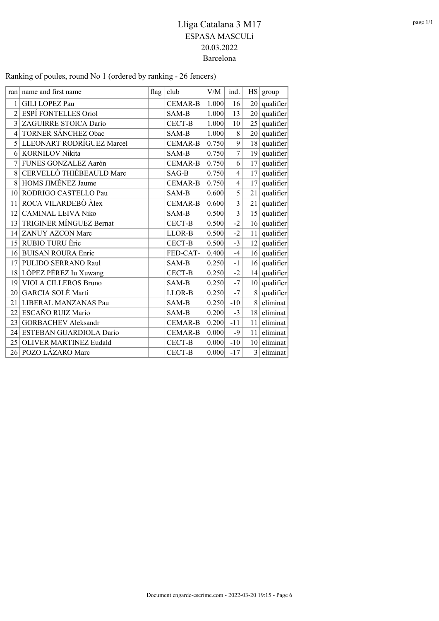| ran            | name and first name            | flag | club           | V/M   | ind.           | HS              | group          |
|----------------|--------------------------------|------|----------------|-------|----------------|-----------------|----------------|
| 1              | <b>GILI LOPEZ Pau</b>          |      | <b>CEMAR-B</b> | 1.000 | 16             |                 | $20$ qualifier |
| $\overline{c}$ | ESPÍ FONTELLES Oriol           |      | SAM-B          | 1.000 | 13             | 20              | qualifier      |
| 3              | ZAGUIRRE STOICA Darío          |      | <b>CECT-B</b>  | 1.000 | 10             |                 | $25$ qualifier |
| 4              | TORNER SÁNCHEZ Obac            |      | SAM-B          | 1.000 | $\,$ 8 $\,$    |                 | $20$ qualifier |
| 5              | LLEONART RODRÍGUEZ Marcel      |      | <b>CEMAR-B</b> | 0.750 | 9              | 18              | qualifier      |
| 6              | <b>KORNILOV Nikita</b>         |      | SAM-B          | 0.750 | 7              |                 | $19$ qualifier |
| 7              | FUNES GONZALEZ Aarón           |      | <b>CEMAR-B</b> | 0.750 | 6              | 17              | qualifier      |
| 8              | CERVELLÓ THIÉBEAULD Marc       |      | SAG-B          | 0.750 | $\overline{4}$ | 17              | qualifier      |
| 8              | HOMS JIMÉNEZ Jaume             |      | <b>CEMAR-B</b> | 0.750 | $\overline{4}$ | 17              | qualifier      |
| 10             | RODRIGO CASTELLO Pau           |      | SAM-B          | 0.600 | 5              | 21              | qualifier      |
| 11             | ROCA VILARDEBÒ Àlex            |      | <b>CEMAR-B</b> | 0.600 | $\overline{3}$ | 21              | qualifier      |
| 12             | <b>CAMINAL LEIVA Niko</b>      |      | SAM-B          | 0.500 | $\overline{3}$ | 15 <sup>2</sup> | qualifier      |
| 13             | <b>TRIGINER MÍNGUEZ Bernat</b> |      | <b>CECT-B</b>  | 0.500 | $-2$           | 16 <sup>2</sup> | qualifier      |
| 14             | <b>ZANUY AZCON Marc</b>        |      | LLOR-B         | 0.500 | $-2$           | 11              | qualifier      |
| 15             | RUBIO TURU Èric                |      | <b>CECT-B</b>  | 0.500 | $-3$           | 12              | qualifier      |
| 16             | <b>BUISAN ROURA Enric</b>      |      | FED-CAT-       | 0.400 | $-4$           | 16              | qualifier      |
| 17             | PULIDO SERRANO Raul            |      | SAM-B          | 0.250 | $-1$           |                 | $16$ qualifier |
| 18             | LÓPEZ PÉREZ Iu Xuwang          |      | CECT-B         | 0.250 | $-2$           | 14              | qualifier      |
| 19             | <b>VIOLA CILLEROS Bruno</b>    |      | SAM-B          | 0.250 | $-7$           | 10 <sup>1</sup> | qualifier      |
| 20             | GARCIA SOLÉ Martí              |      | LLOR-B         | 0.250 | $-7$           | 8               | qualifier      |
| 21             | LIBERAL MANZANAS Pau           |      | SAM-B          | 0.250 | $-10$          | 8               | eliminat       |
| 22             | ESCAÑO RUIZ Mario              |      | SAM-B          | 0.200 | $-3$           | 18              | eliminat       |
| 23             | <b>GORBACHEV Aleksandr</b>     |      | <b>CEMAR-B</b> | 0.200 | $-11$          | 11              | eliminat       |
| 24             | ESTEBAN GUARDIOLA Dario        |      | <b>CEMAR-B</b> | 0.000 | $-9$           | 11              | eliminat       |
| 25             | <b>OLIVER MARTINEZ Eudald</b>  |      | CECT-B         | 0.000 | $-10$          | 10              | eliminat       |
|                | 26 POZO LÁZARO Marc            |      | <b>CECT-B</b>  | 0.000 | $-17$          | $\overline{3}$  | eliminat       |

### Ranking of poules, round No 1 (ordered by ranking - 26 fencers)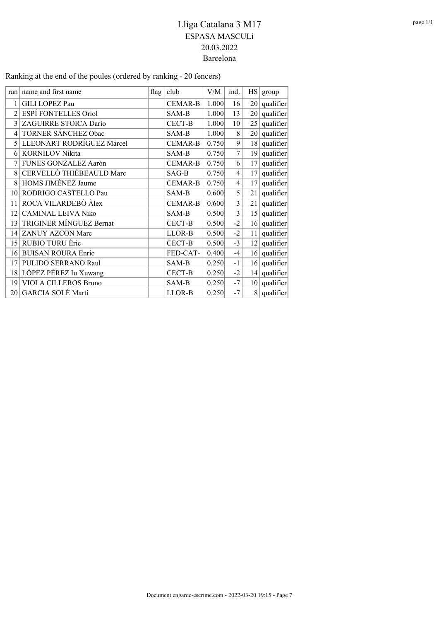| ran            | name and first name            | flag | club           | V/M   | ind.           | HS              | group          |
|----------------|--------------------------------|------|----------------|-------|----------------|-----------------|----------------|
| 1              | GILI LOPEZ Pau                 |      | <b>CEMAR-B</b> | 1.000 | 16             |                 | $20$ qualifier |
| $\overline{2}$ | ESPÍ FONTELLES Oriol           |      | SAM-B          | 1.000 | 13             | 20 <sub>1</sub> | qualifier      |
| 3              | ZAGUIRRE STOICA Darío          |      | CECT-B         | 1.000 | 10             |                 | $25$ qualifier |
| 4              | TORNER SÁNCHEZ Obac            |      | SAM-B          | 1.000 | $\,$ 8 $\,$    |                 | $20$ qualifier |
| 5              | LLEONART RODRÍGUEZ Marcel      |      | <b>CEMAR-B</b> | 0.750 | 9              |                 | $18$ qualifier |
| 6              | <b>KORNILOV Nikita</b>         |      | SAM-B          | 0.750 | 7              | 19              | qualifier      |
|                | FUNES GONZALEZ Aarón           |      | <b>CEMAR-B</b> | 0.750 | 6              | 17              | qualifier      |
| 8              | CERVELLÓ THIÉBEAULD Marc       |      | SAG-B          | 0.750 | $\overline{4}$ | 17              | qualifier      |
| 8              | HOMS JIMÉNEZ Jaume             |      | <b>CEMAR-B</b> | 0.750 | 4              | 17              | qualifier      |
| 10             | RODRIGO CASTELLO Pau           |      | SAM-B          | 0.600 | 5              | 21              | qualifier      |
| 11             | ROCA VILARDEBÒ Àlex            |      | <b>CEMAR-B</b> | 0.600 | 3              | 21              | qualifier      |
| 12             | <b>CAMINAL LEIVA Niko</b>      |      | SAM-B          | 0.500 | $\overline{3}$ |                 | $15$ qualifier |
| 13             | <b>TRIGINER MÍNGUEZ Bernat</b> |      | CECT-B         | 0.500 | $-2$           |                 | $16$ qualifier |
| 14             | ZANUY AZCON Marc               |      | LLOR-B         | 0.500 | $-2$           | 11              | qualifier      |
| 15             | RUBIO TURU Èric                |      | CECT-B         | 0.500 | $-3$           |                 | $12$ qualifier |
| 16             | <b>BUISAN ROURA Enric</b>      |      | FED-CAT-       | 0.400 | $-4$           |                 | $16$ qualifier |
| 17             | PULIDO SERRANO Raul            |      | SAM-B          | 0.250 | $-1$           |                 | $16$ qualifier |
| 18             | LÓPEZ PÉREZ Iu Xuwang          |      | CECT-B         | 0.250 | $-2$           |                 | $14$ qualifier |
| 19             | VIOLA CILLEROS Bruno           |      | SAM-B          | 0.250 | $-7$           |                 | $10$ qualifier |
| 20 l           | GARCIA SOLÉ Martí              |      | LLOR-B         | 0.250 | $-7$           |                 | $8$ qualifier  |

#### Ranking at the end of the poules (ordered by ranking - 20 fencers)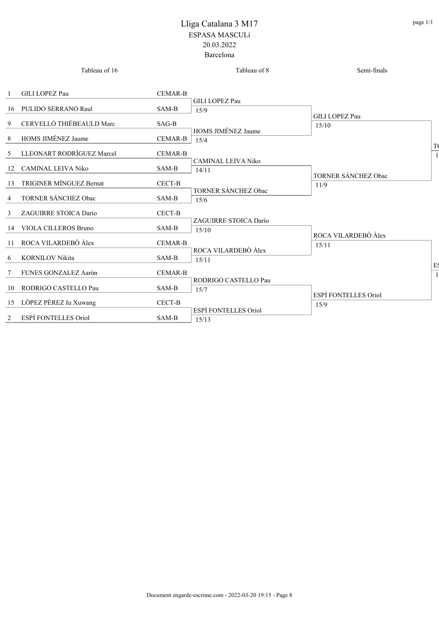|                | Tableau of 16               |                | Tableau of 8               | Semi-finals           |    |
|----------------|-----------------------------|----------------|----------------------------|-----------------------|----|
|                | <b>GILI LOPEZ Pau</b>       | <b>CEMAR-B</b> |                            |                       |    |
|                |                             |                | GILI LOPEZ Pau             |                       |    |
|                | 16 PULIDO SERRANO Raul      | SAM-B          | 15/9                       |                       |    |
|                |                             |                |                            | <b>GILI LOPEZ Pau</b> |    |
| 9              | CERVELLÓ THIÉBEAULD Marc    | SAG-B          |                            | 15/10                 |    |
| 8              | HOMS JIMÉNEZ Jaume          | <b>CEMAR-B</b> | HOMS JIMÉNEZ Jaume<br>15/4 |                       |    |
|                |                             |                |                            |                       |    |
|                | 5 LLEONART RODRÍGUEZ Marcel | <b>CEMAR-B</b> |                            |                       |    |
|                | 12 CAMINAL LEIVA Niko       | SAM-B          | <b>CAMINAL LEIVA Niko</b>  |                       |    |
|                |                             |                | 14/11                      | TORNER SÁNCHEZ Obac   |    |
|                | 13 TRIGINER MÍNGUEZ Bernat  | CECT-B         |                            | 11/9                  |    |
|                |                             |                | TORNER SÁNCHEZ Obac        |                       |    |
| $\overline{4}$ | TORNER SÁNCHEZ Obac         | SAM-B          | 15/6                       |                       |    |
| $\mathfrak{Z}$ | ZAGUIRRE STOICA Darío       | CECT-B         |                            |                       |    |
|                |                             |                | ZAGUIRRE STOICA Darío      |                       |    |
|                | 14 VIOLA CILLEROS Bruno     | SAM-B          | 15/10                      | ROCA VILARDEBÒ Àlex   |    |
|                | 11 ROCA VILARDEBÒ Àlex      | <b>CEMAR-B</b> |                            | 15/11                 |    |
|                |                             |                | ROCA VILARDEBÒ Àlex        |                       |    |
| 6              | <b>KORNILOV Nikita</b>      | SAM-B          | 15/11                      |                       |    |
| 7              | FUNES GONZALEZ Aarón        | <b>CEMAR-B</b> |                            |                       | E. |
|                |                             |                | RODRIGO CASTELLO Pau       |                       |    |
|                | 10 RODRIGO CASTELLO Pau     | SAM-B          | 15/7                       |                       |    |
|                | 15 LÓPEZ PÉREZ Iu Xuwang    | CECT-B         |                            | ESPÍ FONTELLES Oriol  |    |
|                |                             |                | ESPÍ FONTELLES Oriol       | 15/9                  |    |
|                | 2 ESPÍ FONTELLES Oriol      | SAM-B          | 15/13                      |                       |    |
|                |                             |                |                            |                       |    |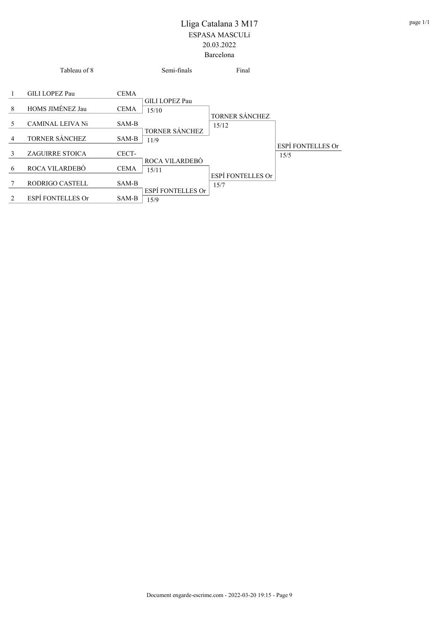|                | Tableau of 8             |             | Semi-finals                   | Final                     |                           |
|----------------|--------------------------|-------------|-------------------------------|---------------------------|---------------------------|
|                | GILI LOPEZ Pau           | CEMA        | GILI LOPEZ Pau                |                           |                           |
| 8              | HOMS JIMÉNEZ Jau         | <b>CEMA</b> | 15/10                         |                           |                           |
| 5              | CAMINAL LEIVA Ni         | SAM-B       |                               | TORNER SÁNCHEZ<br>15/12   |                           |
| 4              | TORNER SÁNCHEZ           | SAM-B       | <b>TORNER SÁNCHEZ</b><br>11/9 |                           |                           |
| 3              | ZAGUIRRE STOICA          | CECT-       |                               |                           | ESPÍ FONTELLES Or<br>15/5 |
| 6              | ROCA VILARDEBO           | <b>CEMA</b> | ROCA VILARDEBÒ<br>15/11       |                           |                           |
|                | RODRIGO CASTELL          | SAM-B       |                               | ESPÍ FONTELLES Or<br>15/7 |                           |
| $\mathfrak{D}$ | <b>ESPÍ FONTELLES Or</b> | SAM-B       | ESPÍ FONTELLES Or<br>15/9     |                           |                           |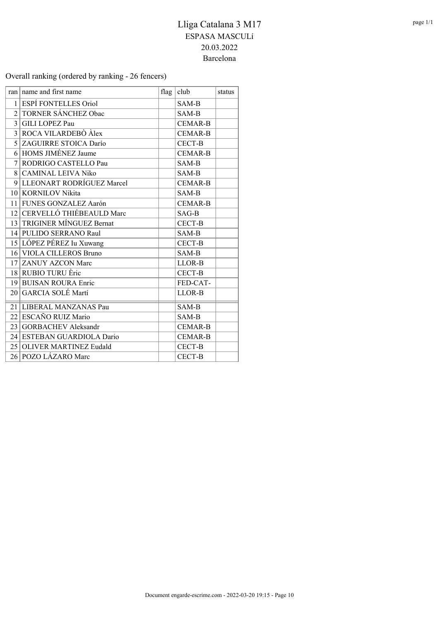#### Overall ranking (ordered by ranking - 26 fencers)

|                             | ran   name and first name   | flag | club           | status |
|-----------------------------|-----------------------------|------|----------------|--------|
| 1                           | <b>ESPÍ FONTELLES Oriol</b> |      | SAM-B          |        |
| $\mathcal{D}_{\mathcal{L}}$ | <b>TORNER SÁNCHEZ Obac</b>  |      | SAM-B          |        |
|                             | 3 GILI LOPEZ Pau            |      | <b>CEMAR-B</b> |        |
|                             | 3 ROCA VILARDEBÒ Àlex       |      | <b>CEMAR-B</b> |        |
|                             | 5 ZAGUIRRE STOICA Darío     |      | <b>CECT-B</b>  |        |
|                             | 6 HOMS JIMÉNEZ Jaume        |      | <b>CEMAR-B</b> |        |
| 7                           | RODRIGO CASTELLO Pau        |      | SAM-B          |        |
|                             | 8 CAMINAL LEIVA Niko        |      | SAM-B          |        |
|                             | 9 LLEONART RODRÍGUEZ Marcel |      | <b>CEMAR-B</b> |        |
|                             | 10 KORNILOV Nikita          |      | SAM-B          |        |
|                             | 11 FUNES GONZALEZ Aarón     |      | <b>CEMAR-B</b> |        |
|                             | 12 CERVELLÓ THIÉBEAULD Marc |      | $SAG-B$        |        |
|                             | 13 TRIGINER MÍNGUEZ Bernat  |      | <b>CECT-B</b>  |        |
|                             | 14 PULIDO SERRANO Raul      |      | SAM-B          |        |
|                             | 15 LÓPEZ PÉREZ Iu Xuwang    |      | CECT-B         |        |
|                             | 16 VIOLA CILLEROS Bruno     |      | SAM-B          |        |
|                             | 17 ZANUY AZCON Marc         |      | LLOR-B         |        |
|                             | 18 RUBIO TURU Èric          |      | <b>CECT-B</b>  |        |
|                             | 19 BUISAN ROURA Enric       |      | FED-CAT-       |        |
|                             | 20 GARCIA SOLÉ Martí        |      | LLOR-B         |        |
|                             | 21 LIBERAL MANZANAS Pau     |      | SAM-B          |        |
|                             | 22 ESCAÑO RUIZ Mario        |      | SAM-B          |        |
|                             | 23 GORBACHEV Aleksandr      |      | <b>CEMAR-B</b> |        |
|                             | 24 ESTEBAN GUARDIOLA Dario  |      | <b>CEMAR-B</b> |        |
|                             | 25 OLIVER MARTINEZ Eudald   |      | <b>CECT-B</b>  |        |
|                             | 26 POZO LÁZARO Marc         |      | <b>CECT-B</b>  |        |